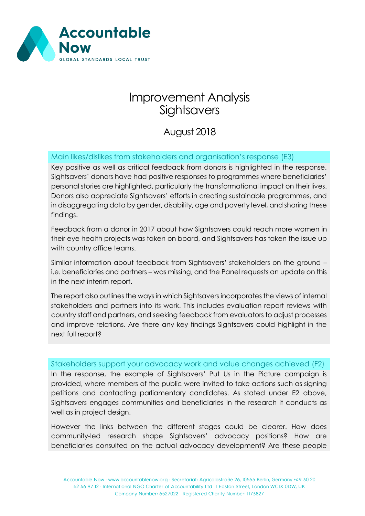

## Improvement Analysis **Sightsavers**

August 2018

## Main likes/dislikes from stakeholders and organisation's response (E3)

Key positive as well as critical feedback from donors is highlighted in the response. Sightsavers' donors have had positive responses to programmes where beneficiaries' personal stories are highlighted, particularly the transformational impact on their lives. Donors also appreciate Sightsavers' efforts in creating sustainable programmes, and in disaggregating data by gender, disability, age and poverty level, and sharing these findings.

Feedback from a donor in 2017 about how Sightsavers could reach more women in their eye health projects was taken on board, and Sightsavers has taken the issue up with country office teams.

Similar information about feedback from Sightsavers' stakeholders on the ground – i.e. beneficiaries and partners – was missing, and the Panel requests an update on this in the next interim report.

The report also outlines the ways in which Sightsavers incorporates the views of internal stakeholders and partners into its work. This includes evaluation report reviews with country staff and partners, and seeking feedback from evaluators to adjust processes and improve relations. Are there any key findings Sightsavers could highlight in the next full report?

## Stakeholders support your advocacy work and value changes achieved (F2)

In the response, the example of Sightsavers' Put Us in the Picture campaign is provided, where members of the public were invited to take actions such as signing petitions and contacting parliamentary candidates. As stated under E2 above, Sightsavers engages communities and beneficiaries in the research it conducts as well as in project design.

However the links between the different stages could be clearer. How does community-led research shape Sightsavers' advocacy positions? How are beneficiaries consulted on the actual advocacy development? Are these people

Accountable Now · www.accountablenow.org · Secretariat: Agricolastraße 26, 10555 Berlin, Germany +49 30 20 62 46 97 12 · International NGO Charter of Accountability Ltd · 1 Easton Street, London WC1X 0DW, UK Company Number: 6527022 Registered Charity Number: 1173827